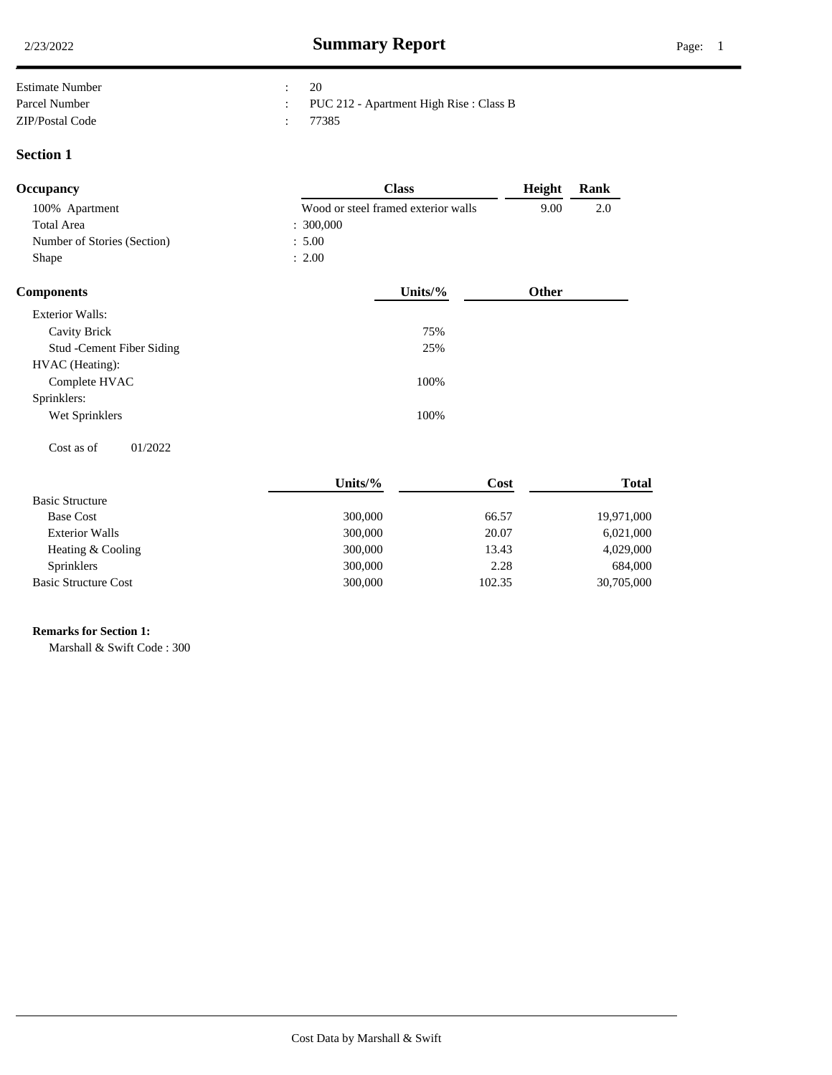| <b>Estimate Number</b> | 20                                      |
|------------------------|-----------------------------------------|
| Parcel Number          | PUC 212 - Apartment High Rise : Class B |
| ZIP/Postal Code        | 77385                                   |

### **Section 1**

| Occupancy                   | <b>Class</b>                        | Height       | Rank |  |
|-----------------------------|-------------------------------------|--------------|------|--|
| 100% Apartment              | Wood or steel framed exterior walls | 9.00         | 2.0  |  |
| <b>Total Area</b>           | : 300,000                           |              |      |  |
| Number of Stories (Section) | : 5.00                              |              |      |  |
| Shape                       | : 2.00                              |              |      |  |
| <b>Components</b>           | Units/ $%$                          | <b>Other</b> |      |  |

| <b>Exterior Walls:</b>            |      |  |
|-----------------------------------|------|--|
| Cavity Brick                      | 75%  |  |
| <b>Stud</b> - Cement Fiber Siding | 25%  |  |
| HVAC (Heating):                   |      |  |
| Complete HVAC                     | 100% |  |
| Sprinklers:                       |      |  |
| Wet Sprinklers                    | 100% |  |
|                                   |      |  |

 $\cos t$  as of  $01/2022$ 

|                             | Units/% | Cost   | <b>Total</b> |
|-----------------------------|---------|--------|--------------|
| <b>Basic Structure</b>      |         |        |              |
| <b>Base Cost</b>            | 300,000 | 66.57  | 19,971,000   |
| <b>Exterior Walls</b>       | 300,000 | 20.07  | 6,021,000    |
| Heating & Cooling           | 300,000 | 13.43  | 4,029,000    |
| <b>Sprinklers</b>           | 300,000 | 2.28   | 684,000      |
| <b>Basic Structure Cost</b> | 300,000 | 102.35 | 30,705,000   |

# **Remarks for Section 1:** .

Marshall & Swift Code : 300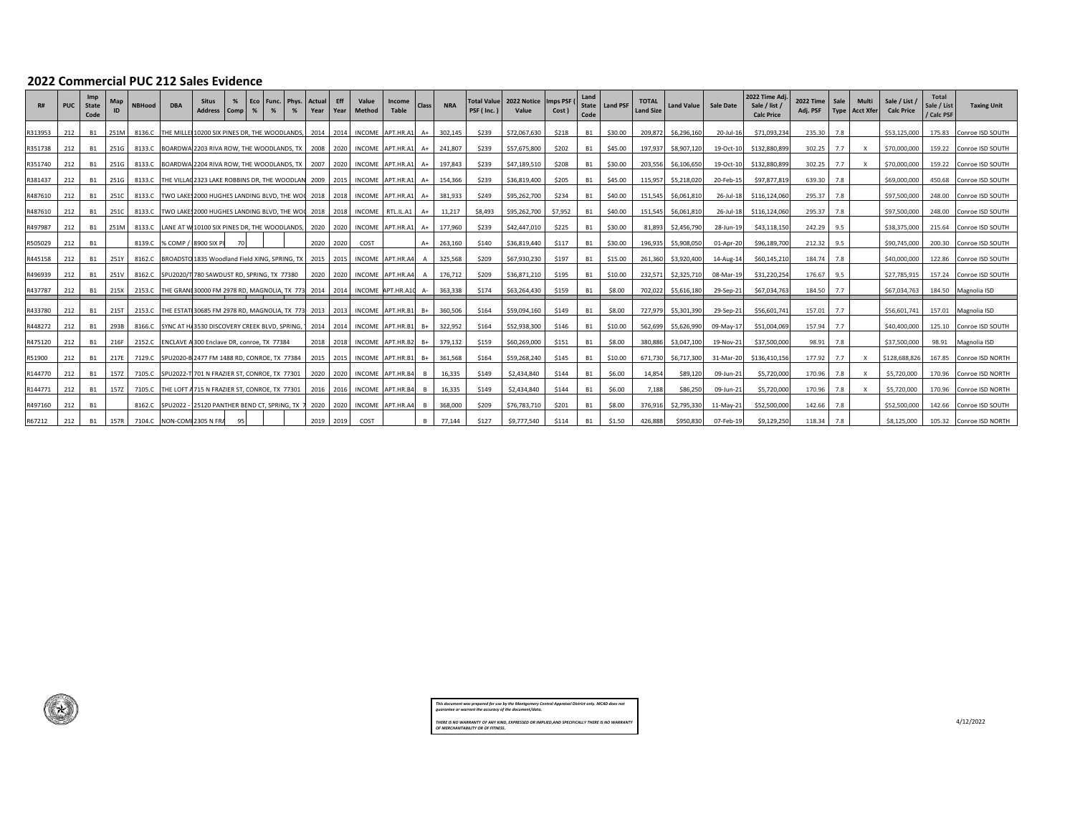#### **2022 Commercial PUC 212 Sales Evidence**

 $\begin{matrix} \mathbf{1} \end{matrix}$ 

| <b>R#</b> | PUC | Imp<br><b>State</b><br>Code | Map  | <b>NBHood</b> | <b>DBA</b>                                                | <b>Situs</b><br><b>Address</b>                          | %<br><b>Comp</b> | I Eco<br>% | Phys.<br>Func.<br>%               | Actual<br>Year | <b>Eff</b><br>Year | Value<br><b>Method</b> | Income<br><b>Table</b>                                                      | <b>Class</b> | <b>NRA</b> | <b>Total Value</b><br>PSF (Inc.) | 2022 Notice<br>Value | <b>Imps PSF</b><br>Cost) | Land<br>State<br>Code | <b>Land PSF</b> | <b>TOTAL</b><br><b>Land Size</b> | <b>Land Value</b> | <b>Sale Date</b> | 2022 Time Adj<br>Sale / list /<br><b>Calc Price</b> | <b>2022 Time</b><br>Adj. PSF | Sale | Multi<br>Type Acct Xfer   | Sale / List /<br><b>Calc Price</b> | Total<br>Sale / List<br>/ Calc PSF | <b>Taxing Unit</b>      |
|-----------|-----|-----------------------------|------|---------------|-----------------------------------------------------------|---------------------------------------------------------|------------------|------------|-----------------------------------|----------------|--------------------|------------------------|-----------------------------------------------------------------------------|--------------|------------|----------------------------------|----------------------|--------------------------|-----------------------|-----------------|----------------------------------|-------------------|------------------|-----------------------------------------------------|------------------------------|------|---------------------------|------------------------------------|------------------------------------|-------------------------|
| R313953   | 212 | <b>B1</b>                   | 251M | 8136.C        |                                                           | THE MILLET10200 SIX PINES DR. THE WOODLANDS.            |                  |            |                                   | 2014           | 2014               |                        | INCOME APT.HR.A1                                                            |              | 302.145    | \$239                            | \$72,067,630         | \$218                    | <b>B1</b>             | \$30.00         | 209.872                          | \$6,296,160       | 20-Jul-16        | \$71,093,234                                        | 235.30                       | 7.8  |                           | \$53,125,000                       |                                    | 175.83 Conroe ISD SOUTH |
| R351738   | 212 | <b>B1</b>                   | 251G | 8133.C        |                                                           | BOARDWA 2203 RIVA ROW, THE WOODLANDS, TX 2008           |                  |            |                                   |                | 2020               |                        | INCOME APT.HR.A1                                                            | $A+$         | 241,807    | \$239                            | \$57,675,800         | \$202                    | <b>B1</b>             | \$45.00         | 197,937                          | \$8,907,120       | 19-Oct-10        | \$132,880,899                                       | 302.25                       | 7.7  | x                         | \$70,000,000                       |                                    | 159.22 Conroe ISD SOUTH |
| R351740   | 212 | <b>B1</b>                   | 251G | 8133.C        |                                                           |                                                         |                  |            |                                   |                |                    |                        | BOARDWA 2204 RIVA ROW, THE WOODLANDS, TX   2007   2020   INCOME   APT.HR.A1 | $A+$         | 197,843    | \$239                            | \$47,189,510         | \$208                    | <b>B1</b>             | \$30.00         | 203.556                          | \$6,106,650       | 19-Oct-10        | \$132,880,899                                       | 302.25                       | 7.7  | $\boldsymbol{\mathsf{x}}$ | \$70,000,000                       |                                    | 159.22 Conroe ISD SOUTH |
| R381437   | 212 | - B1                        | 251G | 8133.C        |                                                           | THE VILLAC 2323 LAKE ROBBINS DR, THE WOODLAN 2009       |                  |            |                                   |                | 2015               |                        | INCOME APT.HR.A1                                                            | $A+$         | 154.366    | \$239                            | \$36,819,400         | \$205                    | <b>B1</b>             | \$45.00         | 115.957                          | \$5,218,020       | 20-Feb-15        | \$97,877,819                                        | 639.30                       | 7.8  |                           | \$69,000,000                       |                                    | 450.68 Conroe ISD SOUTH |
| R487610   | 212 | <b>B1</b>                   | 251C | 8133.C        | TWO LAKE 2000 HUGHES LANDING BLVD, THE WOO 2018 2018      |                                                         |                  |            |                                   |                |                    |                        | INCOME APT.HR.A1                                                            | $A+$         | 381,933    | \$249                            | \$95,262,700         | \$234                    | <b>B1</b>             | \$40.00         | 151.545                          | \$6,061,810       | 26-Jul-18        | \$116,124,060                                       | 295.37 7.8                   |      |                           | \$97,500,000                       |                                    | 248.00 Conroe ISD SOUTH |
| R487610   | 212 | <b>B1</b>                   | 251C | 8133.C        |                                                           | TWO LAKES 2000 HUGHES LANDING BLVD, THE WOO 2018 2018   |                  |            |                                   |                |                    | <b>INCOME</b>          | RTL.IL.A1                                                                   | A+           | 11,217     | \$8,493                          | \$95,262,700         | \$7,952                  | <b>B1</b>             | \$40.00         | 151.545                          | \$6,061,810       | 26-Jul-18        | \$116,124,060                                       | 295.37 7.8                   |      |                           | \$97,500,000                       |                                    | 248.00 Conroe ISD SOUTH |
| R497987   | 212 | <b>B1</b>                   | 251M | 8133.C        |                                                           | LANE AT W 10100 SIX PINES DR, THE WOODLANDS, 2020       |                  |            |                                   |                | 2020               |                        | INCOME APT.HR.A1                                                            | $A+$         | 177,960    | \$239                            | \$42,447,010         | \$225                    | <b>B1</b>             | \$30.00         | 81.893                           | \$2,456,790       | 28-Jun-19        | \$43,118,150                                        | 242.29 9.5                   |      |                           | \$38,375,000                       |                                    | 215.64 Conroe ISD SOUTH |
| R505029   | 212 | <b>B1</b>                   |      | 8139.C        | % COMP                                                    | 8900 SIX P                                              |                  |            |                                   | 2020           | 2020               | COST                   |                                                                             | $A+$         | 263,160    | \$140                            | \$36,819,440         | \$117                    | <b>B1</b>             | \$30.00         | 196,935                          | \$5,908,050       | 01-Apr-20        | \$96,189,700                                        | 212.32                       | 9.5  |                           | \$90,745,000                       |                                    | 200.30 Conroe ISD SOUTH |
| R445158   | 212 | <b>B1</b>                   | 251Y | 8162.C        | BROADSTO 1835 Woodland Field XING, SPRING, TX 2015        |                                                         |                  |            |                                   |                | 2015               |                        | INCOME APT.HR.A4                                                            |              | 325.568    | \$209                            | \$67,930,230         | \$197                    | <b>B1</b>             | \$15.00         | 261.360                          | \$3,920,400       | 14-Aug-14        | \$60,145,210                                        | 184.74                       | 7.8  |                           | \$40,000,000                       |                                    | 122.86 Conroe ISD SOUTH |
| R496939   | 212 | <b>B1</b>                   | 251V | 8162.C        | SPU2020/T 780 SAWDUST RD, SPRING, TX 77380                |                                                         |                  |            |                                   | 2020           | 2020               |                        | INCOME APT.HR.A4                                                            |              | 176,712    | \$209                            | \$36,871,210         | \$195                    | <b>B1</b>             | \$10.00         | 232,571                          | \$2,325,710       | 08-Mar-19        | \$31,220,254                                        | 176.67                       | 9.5  |                           | \$27,785,915                       |                                    | 157.24 Conroe ISD SOUTH |
| R437787   | 212 | <b>B1</b>                   | 215X | 2153.C        |                                                           | THE GRANI 30000 FM 2978 RD, MAGNOLIA, TX 773 2014       |                  |            |                                   |                | 2014               |                        | INCOME APT.HR.A10                                                           | А.           | 363,338    | \$174                            | \$63,264,430         | \$159                    | <b>B1</b>             | \$8.00          | 702.022                          | \$5,616,180       | 29-Sep-21        | \$67,034,763                                        | 184.50                       | 7.7  |                           | \$67,034,763                       |                                    | 184.50 Magnolia ISD     |
| R433780   | 212 | - B1                        | 215T | 2153.C        |                                                           | THE ESTATI 30685 FM 2978 RD, MAGNOLIA, TX 773 2013 2013 |                  |            |                                   |                |                    |                        | INCOME APT.HR.B1                                                            | $B+$         | 360.506    | \$164                            | \$59,094,160         | \$149                    | <b>B1</b>             | \$8.00          | 727,979                          | \$5,301,390       | 29-Sep-21        | \$56,601,741                                        | 157.01                       | 7.7  |                           | \$56,601.741                       |                                    | 157.01 Magnolia ISD     |
| R448272   | 212 | <b>B1</b>                   | 293B | 8166.C        | SYNC AT HJ 3530 DISCOVERY CREEK BLVD, SPRING, 1 2014 2014 |                                                         |                  |            |                                   |                |                    |                        | INCOME APT.HR.B1                                                            | $B+$         | 322,952    | \$164                            | \$52,938,300         | \$146                    | <b>B1</b>             | \$10.00         | 562.699                          | \$5,626,990       | 09-May-17        | \$51,004,069                                        | 157.94                       | 7.7  |                           | \$40,400,000                       |                                    | 125.10 Conroe ISD SOUTH |
| R475120   | 212 | <b>B1</b>                   | 216F |               | 2152.C ENCLAVE A 300 Enclave DR, conroe, TX 77384         |                                                         |                  |            |                                   |                | 2018 2018          |                        | INCOME APT.HR.B2                                                            | $B+$         | 379.132    | \$159                            | \$60,269,000         | \$151                    | <b>B1</b>             | \$8.00          | 380.886                          | \$3,047,100       | 19-Nov-21        | \$37,500,000                                        | 98.91                        | 7.8  |                           | \$37,500,000                       |                                    | 98.91 Magnolia ISD      |
| R51900    | 212 | <b>B1</b>                   | 217E |               | 7129.C SPU2020-B 2477 FM 1488 RD, CONROE, TX 77384        |                                                         |                  |            |                                   | 2015 2015      |                    |                        | INCOME APT.HR.B1                                                            | $B+$         | 361,568    | \$164                            | \$59,268,240         | \$145                    | <b>B1</b>             | \$10.00         | 671.730                          | \$6,717,300       | 31-Mar-20        | \$136,410,156                                       | 177.92                       | 7.7  | x                         | \$128,688,826                      |                                    | 167.85 Conroe ISD NORTH |
| R144770   | 212 | <b>B1</b>                   | 157Z | 7105.C        | SPU2022                                                   | 701 N FRAZIER ST. CONROE, TX 77301                      |                  |            |                                   |                | 2020 2020          |                        | INCOME APT.HR.B4                                                            |              | 16,335     | \$149                            | \$2,434,840          | \$144                    | <b>B1</b>             | \$6.00          | 14.854                           | \$89,120          | 09-Jun-21        | \$5,720,000                                         | 170.96                       | 7.8  | x                         | \$5,720,000                        |                                    | 170.96 Conroe ISD NORTH |
| R144771   | 212 | <b>B1</b>                   | 157Z | 7105.C        | THE LOFT                                                  | 4715 N FRAZIER ST, CONROE, TX 77301                     |                  |            |                                   | 2016 2016      |                    |                        | INCOME APT.HR.B4                                                            | - B          | 16.335     | \$149                            | \$2,434,840          | \$144                    | <b>B1</b>             | \$6.00          | 7.188                            | \$86,250          | 09-Jun-21        | \$5,720,000                                         | 170.96                       | 7.8  |                           | \$5,720,000                        |                                    | 170.96 Conroe ISD NORTH |
| R497160   | 212 | <b>B1</b>                   |      | 8162.C        | SPU2022                                                   |                                                         |                  |            | 25120 PANTHER BEND CT, SPRING, TX | 2020           | 2020               |                        | INCOME APT.HR.A4                                                            |              | 368,000    | \$209                            | \$76,783,710         | \$201                    | <b>B1</b>             | \$8.00          | 376,916                          | \$2,795,330       | 11-May-21        | \$52,500,000                                        | 142.66                       | 7.8  |                           | \$52,500,000                       |                                    | 142.66 Conroe ISD SOUTH |
| R67212    | 212 | <b>B1</b>                   | 157R |               | 7104.C NON-COMI 2305 N FRA                                |                                                         |                  |            |                                   | 2019           | 2019               | COST                   |                                                                             |              | 77.144     | \$127                            | \$9,777,540          | \$114                    | <b>B1</b>             | \$1.50          | 426,888                          | \$950,830         | 07-Feb-19        | \$9,129,250                                         | 118.34                       | 7.8  |                           | \$8,125,000                        |                                    | 105.32 Conroe ISD NORTH |

| This document was prepared for use by the Montgomery Central Appraisal District only. MCAD does not<br>augrantee or warrant the accuracy of the document/data. |
|----------------------------------------------------------------------------------------------------------------------------------------------------------------|
| THERE IS NO WARRANTY OF ANY KIND. EXPRESSED OR IMPLIED.AND SPECIFICALLY THERE IS NO WARRANTY<br>OF MERCHANTABILITY OR OF FITNESS.                              |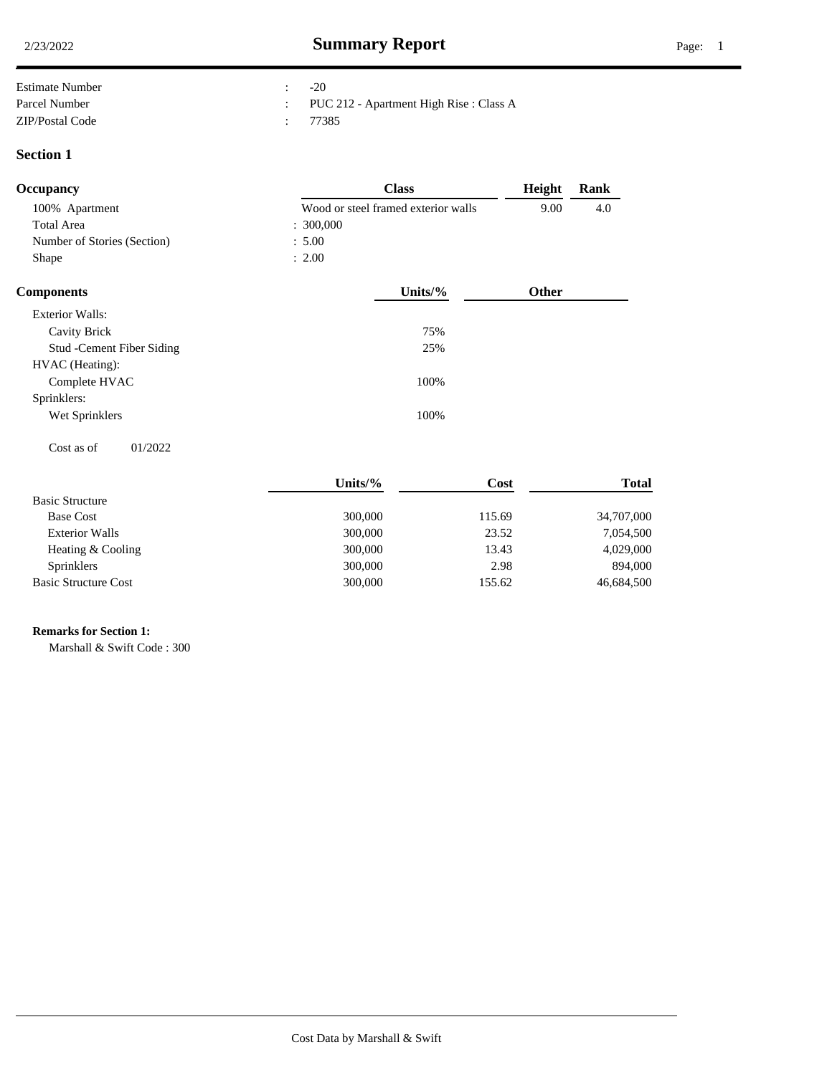| Estimate Number | $-20$                                   |
|-----------------|-----------------------------------------|
| Parcel Number   | PUC 212 - Apartment High Rise : Class A |
| ZIP/Postal Code | 77385                                   |

### **Section 1**

| <b>Occupancy</b>            | <b>Class</b>                        | Height       | Rank |  |
|-----------------------------|-------------------------------------|--------------|------|--|
| 100% Apartment              | Wood or steel framed exterior walls | 9.00         | 4.0  |  |
| <b>Total Area</b>           | : 300,000                           |              |      |  |
| Number of Stories (Section) | : 5.00                              |              |      |  |
| Shape                       | : 2.00                              |              |      |  |
| <b>Components</b>           | Units/ $%$                          | <b>Other</b> |      |  |

| <b>Exterior Walls:</b>            |      |  |
|-----------------------------------|------|--|
| Cavity Brick                      | 75%  |  |
| <b>Stud</b> - Cement Fiber Siding | 25%  |  |
| HVAC (Heating):                   |      |  |
| Complete HVAC                     | 100% |  |
| Sprinklers:                       |      |  |
| Wet Sprinklers                    | 100% |  |
|                                   |      |  |

 $\cos t$  as of  $01/2022$ 

|                             | Units/% | Cost   | <b>Total</b> |
|-----------------------------|---------|--------|--------------|
| <b>Basic Structure</b>      |         |        |              |
| <b>Base Cost</b>            | 300,000 | 115.69 | 34,707,000   |
| <b>Exterior Walls</b>       | 300,000 | 23.52  | 7,054,500    |
| Heating & Cooling           | 300,000 | 13.43  | 4,029,000    |
| <b>Sprinklers</b>           | 300,000 | 2.98   | 894,000      |
| <b>Basic Structure Cost</b> | 300,000 | 155.62 | 46,684,500   |

# **Remarks for Section 1:** .

Marshall & Swift Code : 300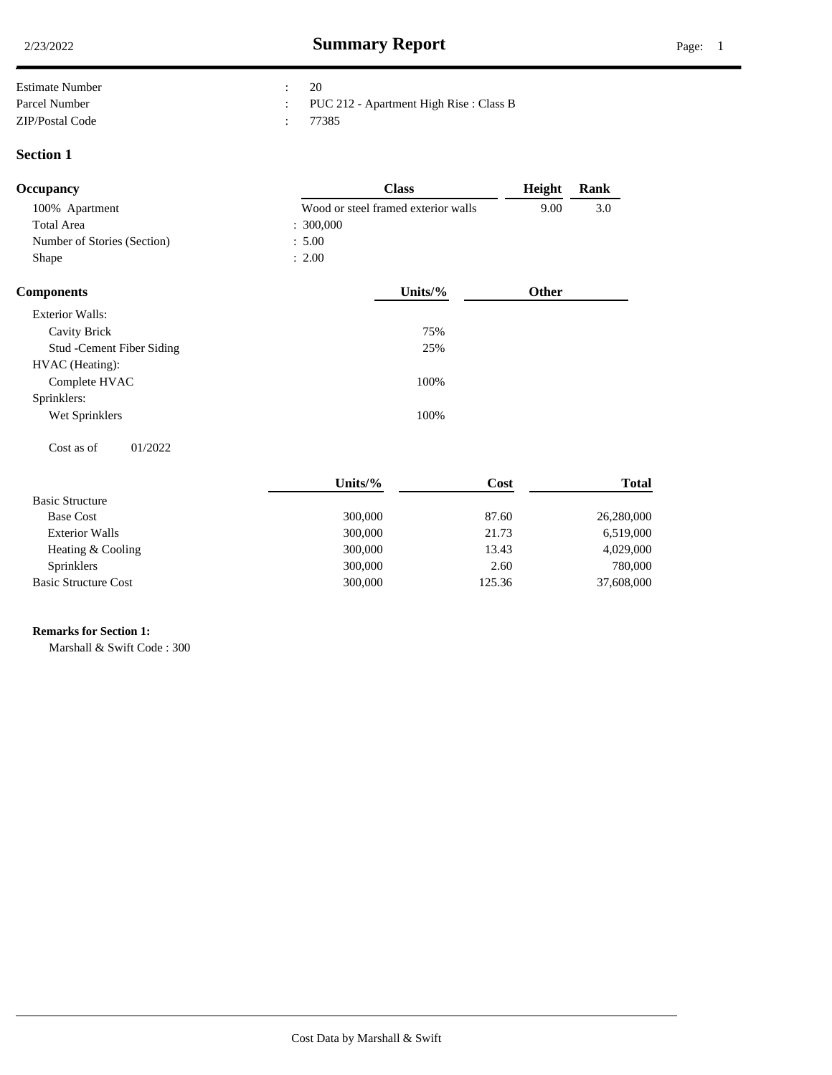| <b>Estimate Number</b> | 20                                      |
|------------------------|-----------------------------------------|
| Parcel Number          | PUC 212 - Apartment High Rise : Class B |
| ZIP/Postal Code        | 77385                                   |

### **Section 1**

| Occupancy                   | <b>Class</b>                        | Height       | Rank |  |
|-----------------------------|-------------------------------------|--------------|------|--|
| 100% Apartment              | Wood or steel framed exterior walls | 9.00         | 3.0  |  |
| <b>Total Area</b>           | : 300,000                           |              |      |  |
| Number of Stories (Section) | : 5.00                              |              |      |  |
| Shape                       | : 2.00                              |              |      |  |
| <b>Components</b>           | Units/ $%$                          | <b>Other</b> |      |  |

| <b>Exterior Walls:</b>     |      |  |
|----------------------------|------|--|
| Cavity Brick               | 75%  |  |
| Stud - Cement Fiber Siding | 25%  |  |
| HVAC (Heating):            |      |  |
| Complete HVAC              | 100% |  |
| Sprinklers:                |      |  |
| Wet Sprinklers             | 100% |  |
|                            |      |  |

 $\cos t$  as of  $01/2022$ 

|                             | Units/ $%$ | Cost   | <b>Total</b> |
|-----------------------------|------------|--------|--------------|
| <b>Basic Structure</b>      |            |        |              |
| <b>Base Cost</b>            | 300,000    | 87.60  | 26,280,000   |
| <b>Exterior Walls</b>       | 300,000    | 21.73  | 6,519,000    |
| Heating & Cooling           | 300,000    | 13.43  | 4,029,000    |
| Sprinklers                  | 300,000    | 2.60   | 780,000      |
| <b>Basic Structure Cost</b> | 300,000    | 125.36 | 37,608,000   |

# **Remarks for Section 1:** .

Marshall & Swift Code : 300